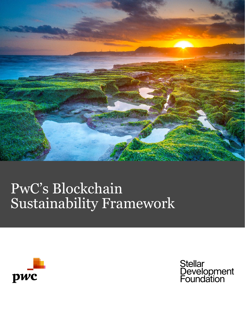

# PwC's Blockchain Sustainability Framework



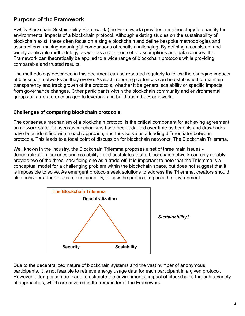# **Purpose of the Framework**

PwC's Blockchain Sustainability Framework (the Framework) provides a methodology to quantify the environmental impacts of a blockchain protocol. Although existing studies on the sustainability of blockchain exist, these often focus on a single blockchain and define bespoke methodologies and assumptions, making meaningful comparisons of results challenging. By defining a consistent and widely applicable methodology, as well as a common set of assumptions and data sources, the Framework can theoretically be applied to a wide range of blockchain protocols while providing comparable and trusted results.

The methodology described in this document can be repeated regularly to follow the changing impacts of blockchain networks as they evolve. As such, reporting cadences can be established to maintain transparency and track growth of the protocols, whether it be general scalability or specific impacts from governance changes. Other participants within the blockchain community and environmental groups at large are encouraged to leverage and build upon the Framework.

### **Challenges of comparing blockchain protocols**

The consensus mechanism of a blockchain protocol is the critical component for achieving agreement on network state. Consensus mechanisms have been adapted over time as benefits and drawbacks have been identified within each approach, and thus serve as a leading differentiator between protocols. This leads to a focal point of discussion for blockchain networks: The Blockchain Trilemma.

Well known in the industry, the Blockchain Trilemma proposes a set of three main issues decentralization, security, and scalability - and postulates that a blockchain network can only reliably provide two of the three, sacrificing one as a trade-off. It is important to note that the Trilemma is a conceptual model for a challenging problem within the blockchain space, but does not suggest that it is impossible to solve. As emergent protocols seek solutions to address the Trilemma, creators should also consider a fourth axis of sustainability, or how the protocol impacts the environment.



Due to the decentralized nature of blockchain systems and the vast number of anonymous participants, it is not feasible to retrieve energy usage data for each participant in a given protocol. However, attempts can be made to estimate the environmental impact of blockchains through a variety of approaches, which are covered in the remainder of the Framework.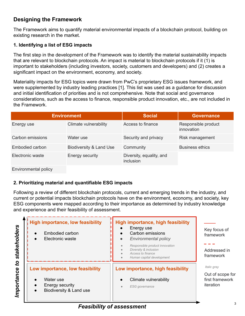## **Designing the Framework**

The Framework aims to quantify material environmental impacts of a blockchain protocol, building on existing research in the market.

## **1. Identifying a list of ESG impacts**

The first step in the development of the Framework was to identify the material sustainability impacts that are relevant to blockchain protocols. An impact is material to blockchain protocols if it (1) is important to stakeholders (including investors, society, customers and developers) and (2) creates a significant impact on the environment, economy, and society.

Materiality impacts for ESG topics were drawn from PwC's proprietary ESG issues framework, and were supplemented by industry leading practices [1]. This list was used as a guidance for discussion and initial identification of priorities and is not comprehensive. Note that social and governance considerations, such as the access to finance, responsible product innovation, etc., are not included in the Framework.

| <b>Environment</b> |                         | <b>Social</b>                         | <b>Governance</b>                 |
|--------------------|-------------------------|---------------------------------------|-----------------------------------|
| Energy use         | Climate vulnerability   | Access to finance                     | Responsible product<br>innovation |
| Carbon emissions   | Water use               | Security and privacy                  | Risk management                   |
| Embodied carbon    | Biodiversity & Land Use | Community                             | <b>Business ethics</b>            |
| Electronic waste   | Energy security         | Diversity, equality, and<br>inclusion |                                   |

Environmental policy

## **2. Prioritizing material and quantifiable ESG impacts**

Following a review of different blockchain protocols, current and emerging trends in the industry, and current or potential impacts blockchain protocols have on the environment, economy, and society, key ESG components were mapped according to their importance as determined by industry knowledge and experience and their feasibility of assessment.

| stakeholders     | <b>High importance, low feasibility</b><br>Embodied carbon<br>$\bullet$<br>Electronic waste                                       | <b>High importance, high feasibility</b><br>Energy use<br>Carbon emissions<br><b>Environmental policy</b><br>$\bullet$<br>Responsible product innovation<br>Diversity & inclusion<br>Access to finance<br>Human capital development | Key focus of<br>framework<br>Addressed in<br>framework          |
|------------------|-----------------------------------------------------------------------------------------------------------------------------------|-------------------------------------------------------------------------------------------------------------------------------------------------------------------------------------------------------------------------------------|-----------------------------------------------------------------|
| S,<br>Importance | Low importance, low feasibility<br>Water use<br>$\bullet$<br>Energy security<br>$\bullet$<br>Biodiversity & Land use<br>$\bullet$ | Low importance, high feasibility<br>Climate vulnerability<br><b>ESG</b> governance<br>$\bullet$                                                                                                                                     | Italic gray<br>Out of scope for<br>first framework<br>iteration |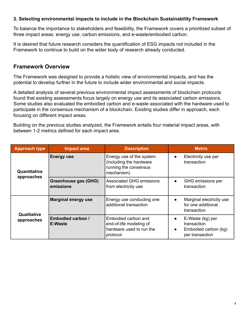#### **3. Selecting environmental impacts to include in the Blockchain Sustainability Framework**

To balance the importance to stakeholders and feasibility, the Framework covers a prioritized subset of three impact areas: energy use, carbon emissions, and e-waste/embodied carbon.

It is desired that future research considers the quantification of ESG impacts not included in the Framework to continue to build on the wider body of research already conducted.

## **Framework Overview**

The Framework was designed to provide a holistic view of environmental impacts, and has the potential to develop further in the future to include wider environmental and social impacts.

A detailed analysis of several previous environmental impact assessments of blockchain protocols found that existing assessments focus largely on energy use and its associated carbon emissions. Some studies also evaluated the embodied carbon and e-waste associated with the hardware used to participate in the consensus mechanism of a blockchain. Existing studies differ in approach, each focusing on different impact areas.

Building on the previous studies analyzed, the Framework entails four material impact areas, with between 1-2 metrics defined for each impact area.

| <b>Approach type</b>       | <b>Impact area</b>                         | <b>Description</b>                                                                         | <b>Metric</b>                                                                                        |
|----------------------------|--------------------------------------------|--------------------------------------------------------------------------------------------|------------------------------------------------------------------------------------------------------|
| Quantitative<br>approaches | <b>Energy use</b>                          | Energy use of the system<br>(including the hardware<br>running the consensus<br>mechanism) | Electricity use per<br>$\bullet$<br>transaction                                                      |
|                            | <b>Greenhouse gas (GHG)</b><br>emissions   | <b>Associated GHG emissions</b><br>from electricity use                                    | GHG emissions per<br>transaction                                                                     |
|                            | <b>Marginal energy use</b>                 | Energy use conducting one<br>additional transaction                                        | Marginal electricity use<br>$\bullet$<br>for one additional<br>transaction                           |
| Qualitative<br>approaches  | <b>Embodied carbon /</b><br><b>E-Waste</b> | Embodied carbon and<br>end-of-life modeling of<br>hardware used to run the<br>protocol     | E-Waste (kg) per<br>$\bullet$<br>transaction<br>Embodied carbon (kg)<br>$\bullet$<br>per transaction |